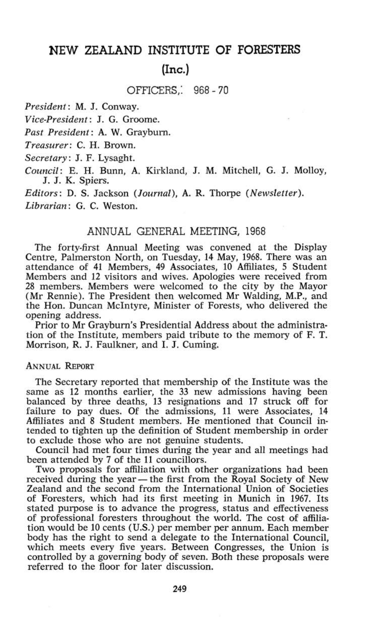# **NEW ZEALAND INSTITUTE OF FORESTERS (Inc.)**

OFFICERS. 968-70

*President:* M. J. Conway.

*Vice-President:* J. G. Groome.

*Past President:* A. W. Grayburn.

*Treasurer:* C. H. Brown.

*Secretary:* J. F. Lysaght.

*Council:* E. H. Bunn, A. Kirkland, J. M. Mitchell, G. J. Molloy, J. J. K. Spiers.

*Editors:* D. S. Jackson *{Journal),* A. R. Thorpe *(Newsletter).* 

*Librarian:* G. C. Weston.

# ANNUAL GENERAL MEETING, 1968

The forty-first Annual Meeting was convened at the Display Centre, Palmerston North, on Tuesday, 14 May, 1968. There was an attendance of 41 Members, 49 Associates, 10 Affiliates, 5 Student Members and 12 visitors and wives. Apologies were received from 28 members. Members were welcomed to the city by the Mayor (Mr Rennie). The President then welcomed Mr Walding, M.P., and the Hon. Duncan McIntyre, Minister of Forests, who delivered the opening address.

Prior to Mr Grayburn's Presidential Address about the administration of the Institute, members paid tribute to the memory of F. T. Morrison, R. J. Faulkner, and I. J. Cuming.

## ANNUAL REPORT

The Secretary reported that membership of the Institute was the same as 12 months earlier, the 33 new admissions having been balanced by three deaths, 13 resignations and 17 struck off for failure to pay dues. Of the admissions, ll were Associates, 14 Affiliates and 8 Student members. He mentioned that Council intended to tighten up the definition of Student membership in order to exclude those who are not genuine students.

Council had met four times during the year and all meetings had been attended by 7 of the ll councillors.

Two proposals for affiliation with other organizations had been received during the year — the first from the Royal Society of New Zealand and the second from the International Union of Societies of Foresters, which had its first meeting in Munich in 1967. Its stated purpose is to advance the progress, status and effectiveness of professional foresters throughout the world. The cost of affiliation would be 10 cents (U.S.) per member per annum. Each member body has the right to send a delegate to the International Council, which meets every five years. Between Congresses, the Union is controlled by a governing body of seven. Both these proposals were referred to the floor for later discussion.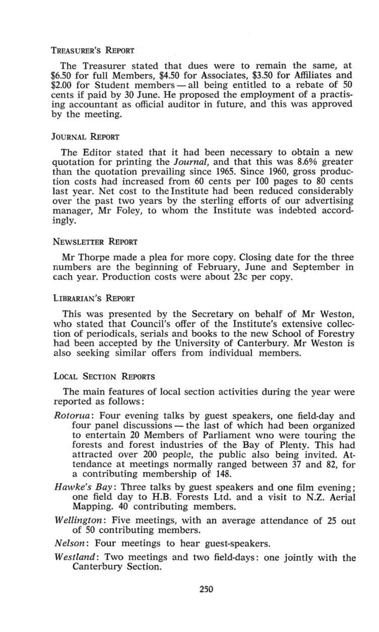## TREASURER'S REPORT

The Treasurer stated that dues were to remain the same, at \$6.50 for full Members, \$4.50 for Associates, \$3.50 for Affiliates and \$2.00 for Student members — all being entitled to a rebate of 50 cents if paid by 30 June. He proposed the employment of a practising accountant as official auditor in future, and this was approved by the meeting.

## JOURNAL REPORT

The Editor stated that it had been necessary to obtain a new quotation for printing the *Journal,* and that this was 8.6% greater than the quotation prevailing since 1965. Since 1960, gross production costs had increased from 60 cents per 100 pages to 80 cents last year. Net cost to the Institute had been reduced considerably over the past two years by the sterling efforts of our advertising manager, Mr Foley, to whom the Institute was indebted accordingly.

### NEWSLETTER REPORT

Mr Thorpe made a plea for more copy. Closing date for the three numbers are the beginning of February, June and September in each year. Production costs were about 23c per copy.

## LIBRARIAN'S REPORT

This was presented by the Secretary on behalf of Mr Weston, who stated that Council's offer of the Institute's extensive collection of periodicals, serials and books to the new School of Forestry had been accepted by the University of Canterbury. Mr Weston is also seeking similar offers from individual members.

# LOCAL SECTION REPORTS

The main features of local section activities during the year were reported as follows:

- *Rotorua:* Four evening talks by guest speakers, one field-day and four panel discussions — the last of which had been organized to entertain 20 Members of Parliament wno were touring the forests and forest industries of the Bay of Plenty. This had attracted over 200 people, the public also being invited. Attendance at meetings normally ranged between 37 and 82, for a contributing membership of 148.
- *Hawke's Bay:* Three talks by guest speakers and one film evening ; one field day to H.B. Forests Ltd. and a visit to N.Z. Aerial Mapping. 40 contributing members.
- *Wellington:* Five meetings, with an average attendance of 25 out of 50 contributing members.

*Nelson:* Four meetings to hear guest-speakers.

*Westland:* Two meetings and two field-days: one jointly with the Canterbury Section.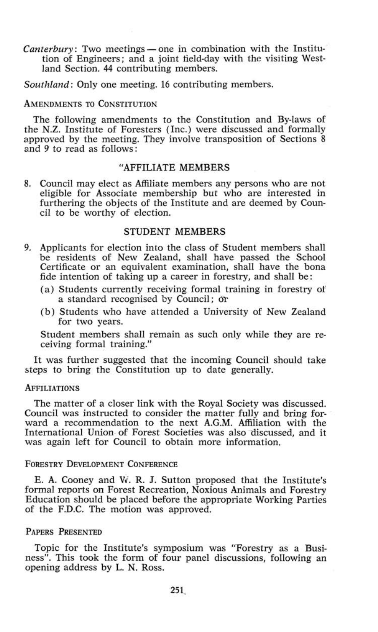*Canterbury.* Two meetings — one in combination with the Institution of Engineers; and a joint tield-day with the visiting Westland Section. 44 contributing members.

*Southland:* Only one meeting. 16 contributing members.

#### AMENDMENTS TO CONSTITUTION

The following amendments to the Constitution and By-laws of the N.Z. Institute of Foresters (Inc.) were discussed and formally approved by the meeting. They involve transposition of Sections 8 and *9* to read as follows:

## "AFFILIATE MEMBERS

8. Council may elect as Affiliate members any persons who are not eligible for Associate membership but who are interested in furthering the objects of the Institute and are deemed by Council to be worthy of election.

## STUDENT MEMBERS

- 9. Applicants for election into the class of Student members shall be residents of New Zealand, shall have passed the School Certificate or an equivalent examination, shall have the bona fide intention of taking up a career in forestry, and shall be:
	- (a) Students currently receiving formal training in forestry of a standard recognised by Council; Or
	- (b) Students who have attended a University of New Zealand for two years.

Student members shall remain as such only while they are receiving formal training."

It was further suggested that the incoming Council should take steps to bring the Constitution up to date generally.

#### **AFFILIATIONS**

The matter of a closer link with the Royal Society was discussed. Council was instructed to consider the matter fully and bring forward a recommendation to the next A.G.M. Affiliation with the International Union of Forest Societies was also discussed, and it was again left for Council to obtain more information.

#### FORESTRY DEVELOPMENT CONFERENCE

E. A. Cooney and Vv. R. J. Sutton proposed that the Institute's formal reports on Forest Recreation, Noxious Animals and Forestry Education should be placed before the appropriate Working Parties of the F.D.C. The motion was approved.

## PAPERS PRESENTED

Topic for the Institute's symposium was "Forestry as a Business". This took the form of four panel discussions, following an opening address by L. N. Ross.